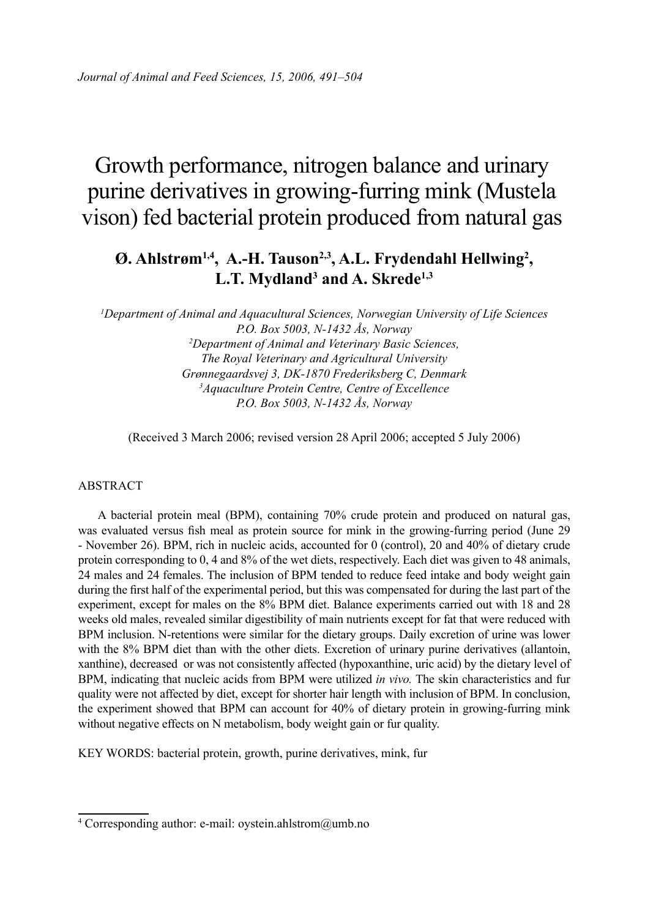# Growth performance, nitrogen balance and urinary purine derivatives in growing-furring mink (Mustela vison) fed bacterial protein produced from natural gas

# **Ø. Ahlstrøm1,4, A.-H. Tauson2,3, A.L. Frydendahl Hellwing2 , L.T. Mydland3 and A. Skrede1,3**

*1 Department of Animal and Aquacultural Sciences, Norwegian University of Life Sciences P.O. Box 5003, N-1432 Ås, Norway 2 Department of Animal and Veterinary Basic Sciences, The Royal Veterinary and Agricultural University Grønnegaardsvej 3, DK-1870 Frederiksberg C, Denmark 3 Aquaculture Protein Centre, Centre of Excellence P.O. Box 5003, N-1432 Ås, Norway*

(Received 3 March 2006; revised version 28 April 2006; accepted 5 July 2006)

#### ABSTRACT

A bacterial protein meal (BPM), containing 70% crude protein and produced on natural gas, was evaluated versus fish meal as protein source for mink in the growing-furring period (June 29 - November 26). BPM, rich in nucleic acids, accounted for 0 (control), 20 and 40% of dietary crude protein corresponding to 0, 4 and 8% of the wet diets, respectively. Each diet was given to 48 animals, 24 males and 24 females. The inclusion of BPM tended to reduce feed intake and body weight gain during the first half of the experimental period, but this was compensated for during the last part of the experiment, except for males on the 8% BPM diet. Balance experiments carried out with 18 and 28 weeks old males, revealed similar digestibility of main nutrients except for fat that were reduced with BPM inclusion. N-retentions were similar for the dietary groups. Daily excretion of urine was lower with the 8% BPM diet than with the other diets. Excretion of urinary purine derivatives (allantoin, xanthine), decreased or was not consistently affected (hypoxanthine, uric acid) by the dietary level of BPM, indicating that nucleic acids from BPM were utilized *in vivo.* The skin characteristics and fur quality were not affected by diet, except for shorter hair length with inclusion of BPM. In conclusion, the experiment showed that BPM can account for 40% of dietary protein in growing-furring mink without negative effects on N metabolism, body weight gain or fur quality.

KEY WORDS: bacterial protein, growth, purine derivatives, mink, fur

<sup>4</sup> Corresponding author: e-mail: oystein.ahlstrom@umb.no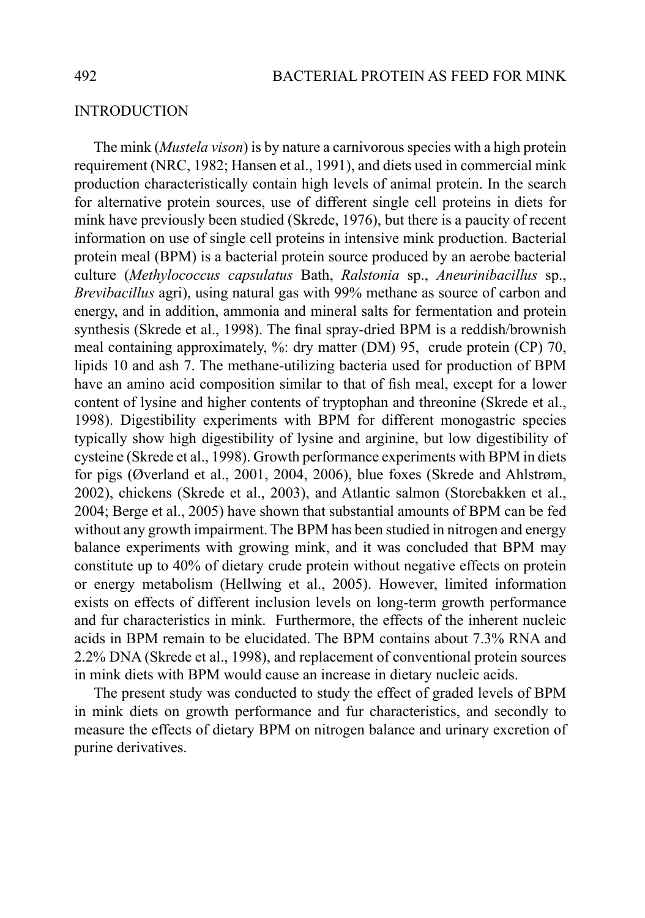#### **INTRODUCTION**

The mink (*Mustela vison*) is by nature a carnivorous species with a high protein requirement (NRC, 1982; Hansen et al., 1991), and diets used in commercial mink production characteristically contain high levels of animal protein. In the search for alternative protein sources, use of different single cell proteins in diets for mink have previously been studied (Skrede, 1976), but there is a paucity of recent information on use of single cell proteins in intensive mink production. Bacterial protein meal (BPM) is a bacterial protein source produced by an aerobe bacterial culture (*Methylococcus capsulatus* Bath, *Ralstonia* sp., *Aneurinibacillus* sp., *Brevibacillus* agri), using natural gas with 99% methane as source of carbon and energy, and in addition, ammonia and mineral salts for fermentation and protein synthesis (Skrede et al., 1998). The final spray-dried BPM is a reddish/brownish meal containing approximately, %: dry matter (DM) 95, crude protein (CP) 70, lipids 10 and ash 7. The methane-utilizing bacteria used for production of BPM have an amino acid composition similar to that of fish meal, except for a lower content of lysine and higher contents of tryptophan and threonine (Skrede et al., 1998). Digestibility experiments with BPM for different monogastric species typically show high digestibility of lysine and arginine, but low digestibility of cysteine (Skrede et al., 1998). Growth performance experiments with BPM in diets for pigs (Øverland et al., 2001, 2004, 2006), blue foxes (Skrede and Ahlstrøm, 2002), chickens (Skrede et al., 2003), and Atlantic salmon (Storebakken et al., 2004; Berge et al., 2005) have shown that substantial amounts of BPM can be fed without any growth impairment. The BPM has been studied in nitrogen and energy balance experiments with growing mink, and it was concluded that BPM may constitute up to 40% of dietary crude protein without negative effects on protein or energy metabolism (Hellwing et al., 2005). However, limited information exists on effects of different inclusion levels on long-term growth performance and fur characteristics in mink. Furthermore, the effects of the inherent nucleic acids in BPM remain to be elucidated. The BPM contains about 7.3% RNA and 2.2% DNA (Skrede et al., 1998), and replacement of conventional protein sources in mink diets with BPM would cause an increase in dietary nucleic acids.

The present study was conducted to study the effect of graded levels of BPM in mink diets on growth performance and fur characteristics, and secondly to measure the effects of dietary BPM on nitrogen balance and urinary excretion of purine derivatives.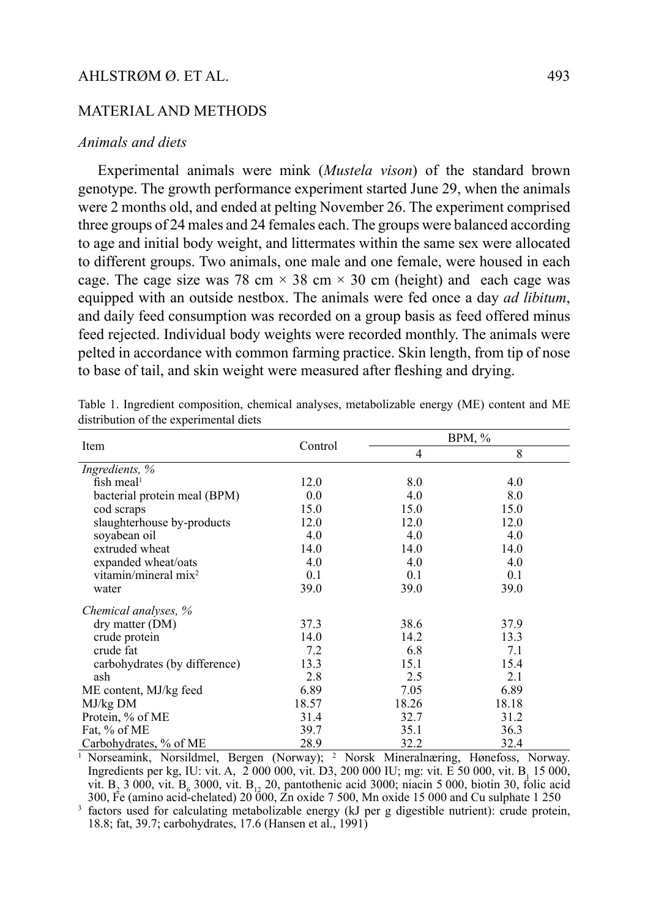#### MATERIAL AND METHODS

#### *Animals and diets*

Experimental animals were mink (*Mustela vison*) of the standard brown genotype. The growth performance experiment started June 29, when the animals were 2 months old, and ended at pelting November 26. The experiment comprised three groups of 24 males and 24 females each. The groups were balanced according to age and initial body weight, and littermates within the same sex were allocated to different groups. Two animals, one male and one female, were housed in each cage. The cage size was 78 cm  $\times$  38 cm  $\times$  30 cm (height) and each cage was equipped with an outside nestbox. The animals were fed once a day *ad libitum*, and daily feed consumption was recorded on a group basis as feed offered minus feed rejected. Individual body weights were recorded monthly. The animals were pelted in accordance with common farming practice. Skin length, from tip of nose to base of tail, and skin weight were measured after fleshing and drying.

|                               |         |       | $BPM, \%$ |
|-------------------------------|---------|-------|-----------|
| Item                          | Control | 4     | 8         |
| Ingredients, %                |         |       |           |
| fish meal <sup>1</sup>        | 12.0    | 8.0   | 4.0       |
| bacterial protein meal (BPM)  | $0.0\,$ | 4.0   | 8.0       |
| cod scraps                    | 15.0    | 15.0  | 15.0      |
| slaughterhouse by-products    | 12.0    | 12.0  | 12.0      |
| sovabean oil                  | 4.0     | 4.0   | 4.0       |
| extruded wheat                | 14.0    | 14.0  | 14.0      |
| expanded wheat/oats           | 4.0     | 4.0   | 4.0       |
| vitamin/mineral $mix^2$       | 0.1     | 0.1   | 0.1       |
| water                         | 39.0    | 39.0  | 39.0      |
| Chemical analyses, %          |         |       |           |
| dry matter (DM)               | 37.3    | 38.6  | 37.9      |
| crude protein                 | 14.0    | 14.2  | 13.3      |
| crude fat                     | 7.2     | 6.8   | 7.1       |
| carbohydrates (by difference) | 13.3    | 15.1  | 15.4      |
| ash                           | 2.8     | 2.5   | 2.1       |
| ME content, MJ/kg feed        | 6.89    | 7.05  | 6.89      |
| MJ/kg DM                      | 18.57   | 18.26 | 18.18     |
| Protein, % of ME              | 31.4    | 32.7  | 31.2      |
| Fat, % of ME                  | 39.7    | 35.1  | 36.3      |
| Carbohydrates, % of ME        | 28.9    | 32.2  | 32.4      |

Table 1. Ingredient composition, chemical analyses, metabolizable energy (ME) content and ME distribution of the experimental diets

<sup>1</sup> Norseamink, Norsildmel, Bergen (Norway); <sup>2</sup> Norsk Mineralnæring, Hønefoss, Norway. Ingredients per kg, IU: vit. A, 2 000 000, vit. D3, 200 000 IU; mg: vit. E 50 000, vit. B<sub>1</sub> 15 000, vit. B<sub>2</sub> 3 000, vit. B<sub>6</sub> 3000, vit. B<sub>12</sub> 20, pantothenic acid 3000; niacin 5 000, biotin 30, folic acid 300, Fe (amino acid-chelated) 20 000, Zn oxide 7 500, Mn oxide 15 000 and Cu sulphate 1 250

3 factors used for calculating metabolizable energy (kJ per g digestible nutrient): crude protein, 18.8; fat, 39.7; carbohydrates, 17.6 (Hansen et al., 1991)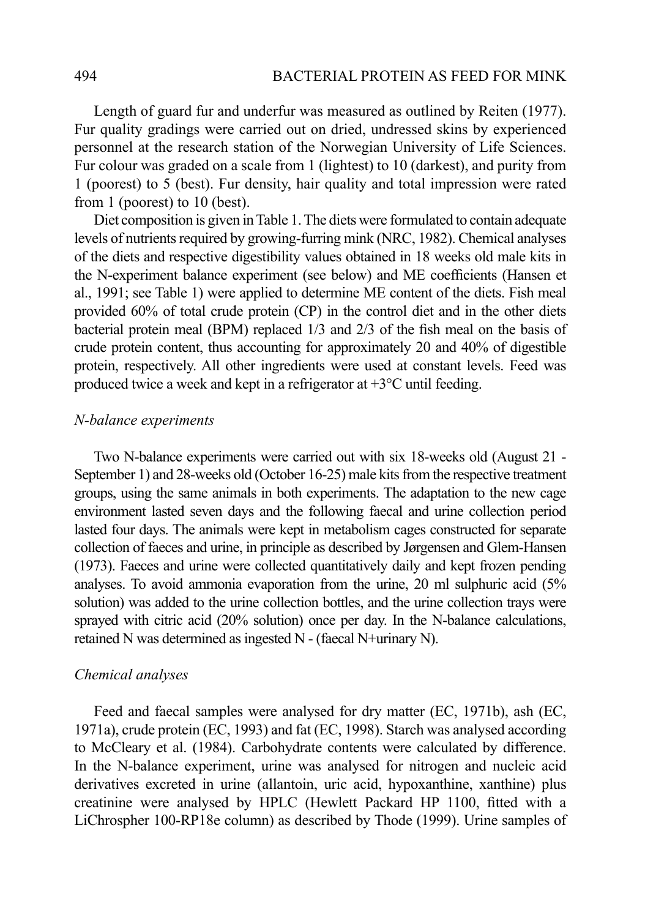Length of guard fur and underfur was measured as outlined by Reiten (1977). Fur quality gradings were carried out on dried, undressed skins by experienced personnel at the research station of the Norwegian University of Life Sciences. Fur colour was graded on a scale from 1 (lightest) to 10 (darkest), and purity from 1 (poorest) to 5 (best). Fur density, hair quality and total impression were rated from 1 (poorest) to 10 (best).

Diet composition is given in Table 1. The diets were formulated to contain adequate levels of nutrients required by growing-furring mink (NRC, 1982). Chemical analyses of the diets and respective digestibility values obtained in 18 weeks old male kits in the N-experiment balance experiment (see below) and ME coefficients (Hansen et al., 1991; see Table 1) were applied to determine ME content of the diets. Fish meal provided 60% of total crude protein (CP) in the control diet and in the other diets bacterial protein meal (BPM) replaced 1/3 and 2/3 of the fish meal on the basis of crude protein content, thus accounting for approximately 20 and 40% of digestible protein, respectively. All other ingredients were used at constant levels. Feed was produced twice a week and kept in a refrigerator at +3°C until feeding.

## *N-balance experiments*

Two N-balance experiments were carried out with six 18-weeks old (August 21 - September 1) and 28-weeks old (October 16-25) male kits from the respective treatment groups, using the same animals in both experiments. The adaptation to the new cage environment lasted seven days and the following faecal and urine collection period lasted four days. The animals were kept in metabolism cages constructed for separate collection of faeces and urine, in principle as described by Jørgensen and Glem-Hansen (1973). Faeces and urine were collected quantitatively daily and kept frozen pending analyses. To avoid ammonia evaporation from the urine, 20 ml sulphuric acid (5% solution) was added to the urine collection bottles, and the urine collection trays were sprayed with citric acid (20% solution) once per day. In the N-balance calculations, retained N was determined as ingested N - (faecal N+urinary N).

#### *Chemical analyses*

Feed and faecal samples were analysed for dry matter (EC, 1971b), ash (EC, 1971a), crude protein (EC, 1993) and fat (EC, 1998). Starch was analysed according to McCleary et al. (1984). Carbohydrate contents were calculated by difference. In the N-balance experiment, urine was analysed for nitrogen and nucleic acid derivatives excreted in urine (allantoin, uric acid, hypoxanthine, xanthine) plus creatinine were analysed by HPLC (Hewlett Packard HP 1100, fitted with a LiChrospher 100-RP18e column) as described by Thode (1999). Urine samples of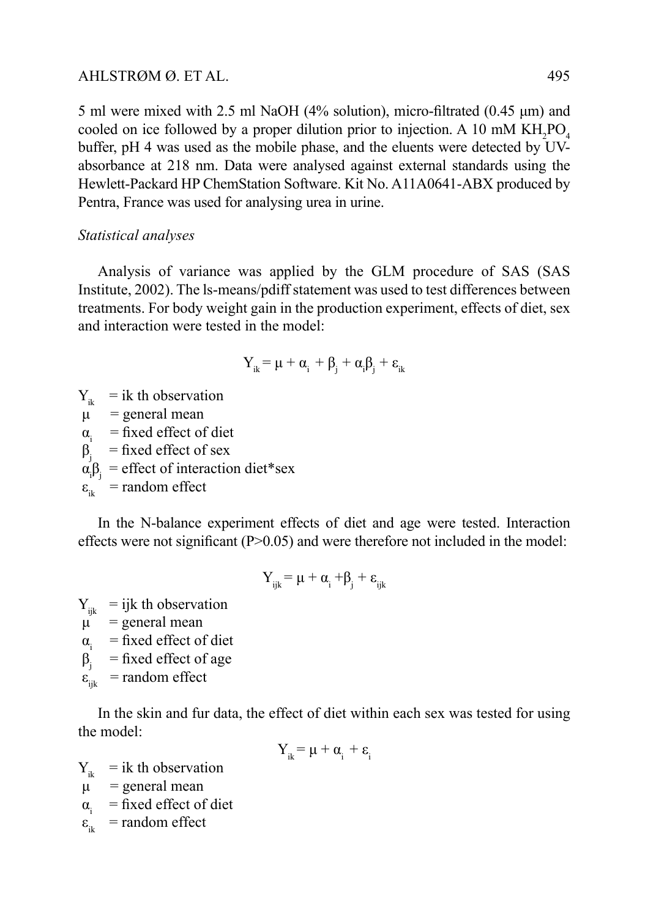5 ml were mixed with 2.5 ml NaOH (4% solution), micro-filtrated (0.45 μm) and cooled on ice followed by a proper dilution prior to injection. A 10 mM  $KH_2PO_4$ buffer, pH 4 was used as the mobile phase, and the eluents were detected by UVabsorbance at 218 nm. Data were analysed against external standards using the Hewlett-Packard HP ChemStation Software. Kit No. A11A0641-ABX produced by Pentra, France was used for analysing urea in urine.

# *Statistical analyses*

Analysis of variance was applied by the GLM procedure of SAS (SAS Institute, 2002). The ls-means/pdiff statement was used to test differences between treatments. For body weight gain in the production experiment, effects of diet, sex and interaction were tested in the model:

$$
Y_{ik} = \mu + \alpha_i + \beta_j + \alpha_i \beta_j + \epsilon_{ik}
$$

 $Y_{ik}$  = ik th observation

 $\mu$  = general mean

 $\alpha_i$  = fixed effect of diet

 $β<sub>i</sub> = fixed effect of sex$ 

 $\alpha_i \beta_j$  = effect of interaction diet\*sex

 $\varepsilon_{ik}$  = random effect

In the N-balance experiment effects of diet and age were tested. Interaction effects were not significant (P>0.05) and were therefore not included in the model:

$$
Y_{ijk} = \mu + \alpha_i + \beta_j + \epsilon_{ijk}
$$

 $Y_{ijk}$  = ijk th observation

 $\mu$  = general mean

 $\alpha_i$  = fixed effect of diet<br> $\beta_i$  = fixed effect of age

 $=$  fixed effect of age

 $\varepsilon_{\rm int}$ = random effect

In the skin and fur data, the effect of diet within each sex was tested for using the model:

$$
Y_{ik} = \mu + \alpha_i + \epsilon_i
$$

 $Y_{ik}$  = ik th observation  $\mu$  = general mean

 $\alpha_i$  = fixed effect of diet

 $\varepsilon_{ik}$  = random effect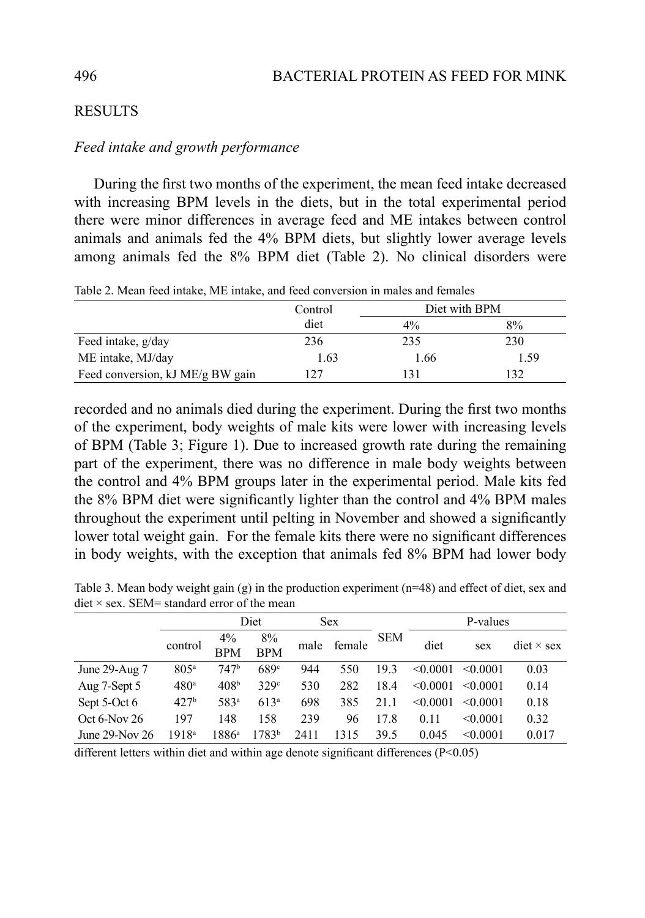# **RESULTS**

#### *Feed intake and growth performance*

During the first two months of the experiment, the mean feed intake decreased with increasing BPM levels in the diets, but in the total experimental period there were minor differences in average feed and ME intakes between control animals and animals fed the 4% BPM diets, but slightly lower average levels among animals fed the 8% BPM diet (Table 2). No clinical disorders were

|                                  | Control | Diet with BPM |      |  |  |
|----------------------------------|---------|---------------|------|--|--|
|                                  | diet    | $4\%$         | 8%   |  |  |
| Feed intake, g/day               | 236     | 235           | 230  |  |  |
| ME intake, MJ/day                | 1.63    | 1.66          | 1.59 |  |  |
| Feed conversion, kJ ME/g BW gain | 127     | 131           | 132  |  |  |

Table 2. Mean feed intake, ME intake, and feed conversion in males and females

recorded and no animals died during the experiment. During the first two months of the experiment, body weights of male kits were lower with increasing levels of BPM (Table 3; Figure 1). Due to increased growth rate during the remaining part of the experiment, there was no difference in male body weights between the control and 4% BPM groups later in the experimental period. Male kits fed the 8% BPM diet were significantly lighter than the control and 4% BPM males throughout the experiment until pelting in November and showed a significantly lower total weight gain. For the female kits there were no significant differences in body weights, with the exception that animals fed 8% BPM had lower body

Table 3. Mean body weight gain (g) in the production experiment (n=48) and effect of diet, sex and diet  $\times$  sex. SEM= standard error of the mean

|                     |                  | Diet                |                  | <b>Sex</b> |        |            | P-values |               |                                 |
|---------------------|------------------|---------------------|------------------|------------|--------|------------|----------|---------------|---------------------------------|
|                     | control          | $4\%$<br><b>BPM</b> | 8%<br><b>BPM</b> | male       | female | <b>SEM</b> | diet     | sex           | $\text{dist} \times \text{sex}$ |
| June 29-Aug 7       | 805 <sup>a</sup> | 747 <sup>b</sup>    | 689°             | 944        | 550    | 193        | < 0.0001 | $\leq 0.0001$ | 0.03                            |
| Aug 7-Sept 5        | 480 <sup>a</sup> | 408 <sup>b</sup>    | 329 <sup>c</sup> | 530        | 282    | 18.4       | < 0.0001 | < 0.0001      | 0.14                            |
| Sept 5-Oct 6        | 427 <sup>b</sup> | 583ª                | $613^a$          | 698        | 385    | 21.1       | < 0.0001 | < 0.0001      | 0.18                            |
| $Oct 6-Nov 26$      | 197              | 148                 | 158              | 239        | 96     | 17.8       | 0.11     | < 0.0001      | 0.32                            |
| June $29$ -Nov $26$ | 1918ª            | $1886^{\circ}$      | 1783b            | 2411       | 1315   | 39.5       | 0.045    | < 0.0001      | 0.017                           |

different letters within diet and within age denote significant differences (P<0.05)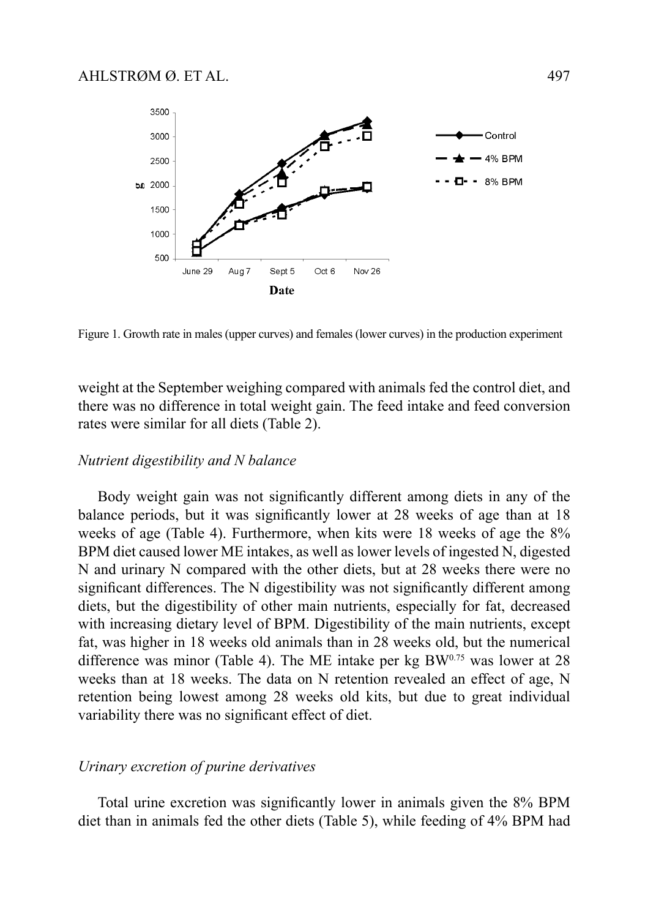

Figure 1. Growth rate in males (upper curves) and females (lower curves) in the production experiment

weight at the September weighing compared with animals fed the control diet, and there was no difference in total weight gain. The feed intake and feed conversion rates were similar for all diets (Table 2).

#### *Nutrient digestibility and N balance*

Body weight gain was not significantly different among diets in any of the balance periods, but it was significantly lower at 28 weeks of age than at 18 weeks of age (Table 4). Furthermore, when kits were 18 weeks of age the 8% BPM diet caused lower ME intakes, as well as lower levels of ingested N, digested N and urinary N compared with the other diets, but at 28 weeks there were no significant differences. The N digestibility was not significantly different among diets, but the digestibility of other main nutrients, especially for fat, decreased with increasing dietary level of BPM. Digestibility of the main nutrients, except fat, was higher in 18 weeks old animals than in 28 weeks old, but the numerical difference was minor (Table 4). The ME intake per kg  $BW^{0.75}$  was lower at 28 weeks than at 18 weeks. The data on N retention revealed an effect of age, N retention being lowest among 28 weeks old kits, but due to great individual variability there was no significant effect of diet.

#### *Urinary excretion of purine derivatives*

Total urine excretion was significantly lower in animals given the 8% BPM diet than in animals fed the other diets (Table 5), while feeding of 4% BPM had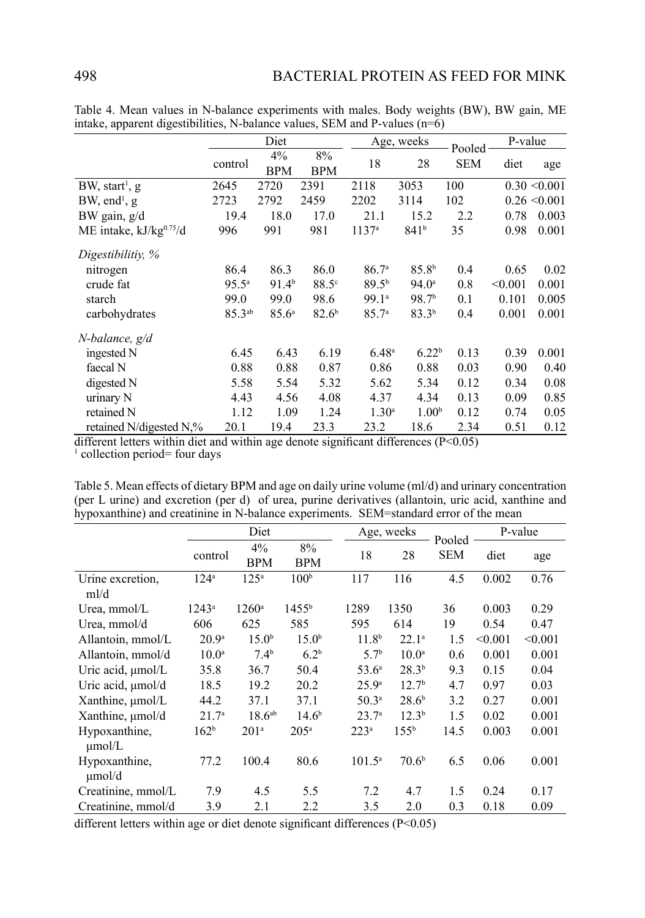|                               | Diet        |                   |                     |                   | Age, weeks        | Pooled     |         | P-value          |  |
|-------------------------------|-------------|-------------------|---------------------|-------------------|-------------------|------------|---------|------------------|--|
|                               | control     | 4%<br>BPM         | $8\%$<br><b>BPM</b> | 18                | 28                | <b>SEM</b> | diet    | age              |  |
| $BW$ , start <sup>1</sup> , g | 2645        | 2720              | 2391                | 2118              | 3053              | 100        |         | $0.30 \le 0.001$ |  |
| $BW$ , end <sup>1</sup> , g   | 2723        | 2792              | 2459                | 2202              | 3114              | 102        |         | $0.26 \le 0.001$ |  |
| BW gain, $g/d$                | 19.4        | 18.0              | 17.0                | 21.1              | 15.2              | 2.2        | 0.78    | 0.003            |  |
| ME intake, $kJ/kg^{0.75}/d$   | 996         | 991               | 981                 | $1137^{\rm a}$    | 841 <sup>b</sup>  | 35         | 0.98    | 0.001            |  |
| Digestibilitiy, %             |             |                   |                     |                   |                   |            |         |                  |  |
| nitrogen                      | 86.4        | 86.3              | 86.0                | 86.7 <sup>a</sup> | 85.8 <sup>b</sup> | 0.4        | 0.65    | 0.02             |  |
| crude fat                     | $95.5^a$    | 91.4 <sup>b</sup> | 88.5 <sup>c</sup>   | 89.5 <sup>b</sup> | $94.0^{\circ}$    | 0.8        | < 0.001 | 0.001            |  |
| starch                        | 99.0        | 99.0              | 98.6                | 99.1ª             | 98.7 <sup>b</sup> | 0.1        | 0.101   | 0.005            |  |
| carbohydrates                 | $85.3^{ab}$ | 85.6 <sup>a</sup> | 82.6 <sup>b</sup>   | 85.7 <sup>a</sup> | $83.3^{b}$        | 0.4        | 0.001   | 0.001            |  |
| N-balance, g/d                |             |                   |                     |                   |                   |            |         |                  |  |
| ingested N                    | 6.45        | 6.43              | 6.19                | 6.48 <sup>a</sup> | 6.22 <sup>b</sup> | 0.13       | 0.39    | 0.001            |  |
| faecal N                      | 0.88        | 0.88              | 0.87                | 0.86              | 0.88              | 0.03       | 0.90    | 0.40             |  |
| digested N                    | 5.58        | 5.54              | 5.32                | 5.62              | 5.34              | 0.12       | 0.34    | 0.08             |  |
| urinary N                     | 4.43        | 4.56              | 4.08                | 4.37              | 4.34              | 0.13       | 0.09    | 0.85             |  |
| retained N                    | 1.12        | 1.09              | 1.24                | 1.30 <sup>a</sup> | 1.00 <sup>b</sup> | 0.12       | 0.74    | 0.05             |  |
| retained N/digested N,%       | 20.1        | 19.4              | 23.3                | 23.2              | 18.6              | 2.34       | 0.51    | 0.12             |  |

Table 4. Mean values in N-balance experiments with males. Body weights (BW), BW gain, ME intake, apparent digestibilities, N-balance values, SEM and P-values  $(n=6)$ 

different letters within diet and within age denote significant differences (P<0.05) <sup>1</sup> collection period= four days

Table 5. Mean effects of dietary BPM and age on daily urine volume (ml/d) and urinary concentration (per L urine) and excretion (per d) of urea, purine derivatives (allantoin, uric acid, xanthine and hypoxanthine) and creatinine in N-balance experiments. SEM=standard error of the mean

|                              |                   | Diet               |                   |                   | Age, weeks        | Pooled     | P-value |         |
|------------------------------|-------------------|--------------------|-------------------|-------------------|-------------------|------------|---------|---------|
|                              | control           | 4%<br><b>BPM</b>   | 8%<br><b>BPM</b>  | 18                | 28                | <b>SEM</b> | diet    | age     |
| Urine excretion.<br>ml/d     | 124 <sup>a</sup>  | $125^{\rm a}$      | 100 <sup>b</sup>  | 117               | 116               | 4.5        | 0.002   | 0.76    |
| Urea, mmol/L                 | $1243^{\circ}$    | $1260^{\circ}$     | $1455^{\rm b}$    | 1289              | 1350              | 36         | 0.003   | 0.29    |
| Urea, mmol/d                 | 606               | 625                | 585               | 595               | 614               | 19         | 0.54    | 0.47    |
| Allantoin, mmol/L            | 20.9 <sup>a</sup> | 15.0 <sup>b</sup>  | 15.0 <sup>b</sup> | 11.8 <sup>b</sup> | $22.1^a$          | 1.5        | < 0.001 | < 0.001 |
| Allantoin, mmol/d            | 10.0 <sup>a</sup> | $7.4^{b}$          | 6.2 <sup>b</sup>  | 5.7 <sup>b</sup>  | 10.0 <sup>a</sup> | 0.6        | 0.001   | 0.001   |
| Uric acid, µmol/L            | 35.8              | 36.7               | 50.4              | $53.6^{\circ}$    | 28.3 <sup>b</sup> | 9.3        | 0.15    | 0.04    |
| Uric acid, µmol/d            | 18.5              | 19.2               | 20.2              | $25.9^{\circ}$    | 12.7 <sup>b</sup> | 4.7        | 0.97    | 0.03    |
| Xanthine, $\mu$ mol/L        | 44.2              | 37.1               | 37.1              | 50.3 <sup>a</sup> | 28.6 <sup>b</sup> | 3.2        | 0.27    | 0.001   |
| Xanthine, µmol/d             | 21.7 <sup>a</sup> | 18.6 <sup>ab</sup> | 14.6 <sup>b</sup> | 23.7 <sup>a</sup> | 12.3 <sup>b</sup> | 1.5        | 0.02    | 0.001   |
| Hypoxanthine,<br>$\mu$ mol/L | 162 <sup>b</sup>  | 201 <sup>a</sup>   | 205 <sup>a</sup>  | $223^{\rm a}$     | 155 <sup>b</sup>  | 14.5       | 0.003   | 0.001   |
| Hypoxanthine,<br>umol/d      | 77.2              | 100.4              | 80.6              | $101.5^{\circ}$   | 70.6 <sup>b</sup> | 6.5        | 0.06    | 0.001   |
| Creatinine, mmol/L           | 7.9               | 4.5                | 5.5               | 7.2               | 4.7               | 1.5        | 0.24    | 0.17    |
| Creatinine, mmol/d           | 3.9               | 2.1                | 2.2               | 3.5               | 2.0               | 0.3        | 0.18    | 0.09    |

different letters within age or diet denote significant differences  $(P<0.05)$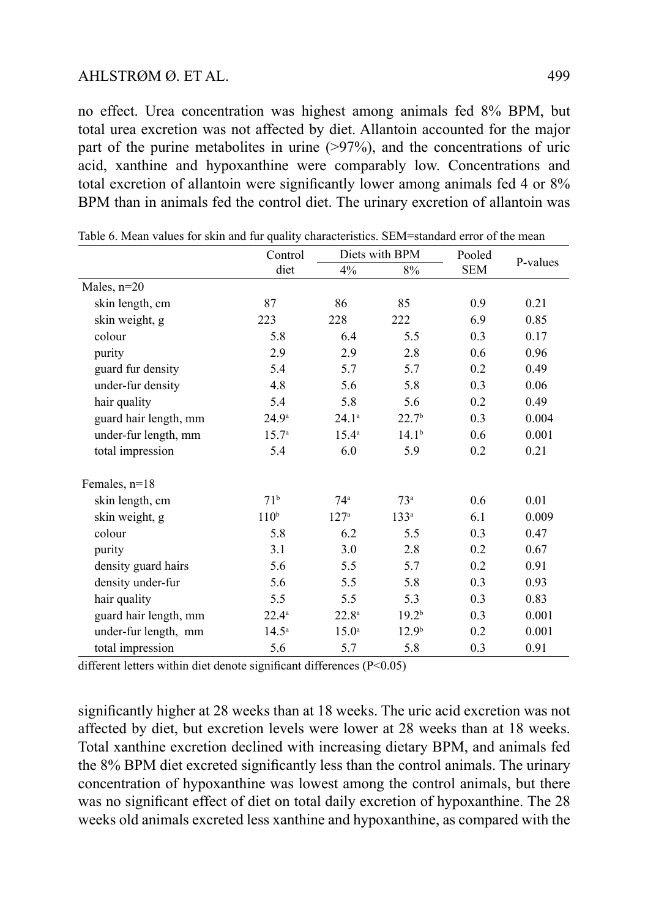## $AHISTROM \varnothing$  ET AL.  $499$

no effect. Urea concentration was highest among animals fed 8% BPM, but total urea excretion was not affected by diet. Allantoin accounted for the major part of the purine metabolites in urine  $(>\frac{97}{%})$ , and the concentrations of uric acid, xanthine and hypoxanthine were comparably low. Concentrations and total excretion of allantoin were significantly lower among animals fed 4 or 8% BPM than in animals fed the control diet. The urinary excretion of allantoin was

|                       | Control           |                   | Diets with BPM    | Pooled     |          |  |
|-----------------------|-------------------|-------------------|-------------------|------------|----------|--|
|                       | diet              | 4%                | $8\%$             | <b>SEM</b> | P-values |  |
| Males, $n=20$         |                   |                   |                   |            |          |  |
| skin length, cm       | 87                | 86                | 85                | 0.9        | 0.21     |  |
| skin weight, g        | 223               | 228               | 222               | 6.9        | 0.85     |  |
| colour                | 5.8               | 6.4               | 5.5               | 0.3        | 0.17     |  |
| purity                | 2.9               | 2.9               | 2.8               | 0.6        | 0.96     |  |
| guard fur density     | 5.4               | 5.7               | 5.7               | 0.2        | 0.49     |  |
| under-fur density     | 4.8               | 5.6               | 5.8               | 0.3        | 0.06     |  |
| hair quality          | 5.4               | 5.8               | 5.6               | 0.2        | 0.49     |  |
| guard hair length, mm | $24.9^{\circ}$    | $24.1^a$          | 22.7 <sup>b</sup> | 0.3        | 0.004    |  |
| under-fur length, mm  | 15.7 <sup>a</sup> | $15.4^{\rm a}$    | 14.1 <sup>b</sup> | 0.6        | 0.001    |  |
| total impression      | 5.4               | 6.0               | 5.9               | 0.2        | 0.21     |  |
| Females, $n=18$       |                   |                   |                   |            |          |  |
| skin length, cm       | 71 <sup>b</sup>   | 74 <sup>a</sup>   | 73 <sup>a</sup>   | 0.6        | 0.01     |  |
| skin weight, g        | 110 <sup>b</sup>  | 127 <sup>a</sup>  | 133 <sup>a</sup>  | 6.1        | 0.009    |  |
| colour                | 5.8               | 6.2               | 5.5               | 0.3        | 0.47     |  |
| purity                | 3.1               | 3.0               | 2.8               | 0.2        | 0.67     |  |
| density guard hairs   | 5.6               | 5.5               | 5.7               | 0.2        | 0.91     |  |
| density under-fur     | 5.6               | 5.5               | 5.8               | 0.3        | 0.93     |  |
| hair quality          | 5.5               | 5.5               | 5.3               | 0.3        | 0.83     |  |
| guard hair length, mm | $22.4^{\circ}$    | $22.8^{\circ}$    | 19.2 <sup>b</sup> | 0.3        | 0.001    |  |
| under-fur length, mm  | $14.5^{\circ}$    | 15.0 <sup>a</sup> | 12.9 <sup>b</sup> | 0.2        | 0.001    |  |
| total impression      | 5.6               | 5.7               | 5.8               | 0.3        | 0.91     |  |

Table 6. Mean values for skin and fur quality characteristics. SEM=standard error of the mean

different letters within diet denote significant differences (P<0.05)

significantly higher at 28 weeks than at 18 weeks. The uric acid excretion was not affected by diet, but excretion levels were lower at 28 weeks than at 18 weeks. Total xanthine excretion declined with increasing dietary BPM, and animals fed the 8% BPM diet excreted significantly less than the control animals. The urinary concentration of hypoxanthine was lowest among the control animals, but there was no significant effect of diet on total daily excretion of hypoxanthine. The 28 weeks old animals excreted less xanthine and hypoxanthine, as compared with the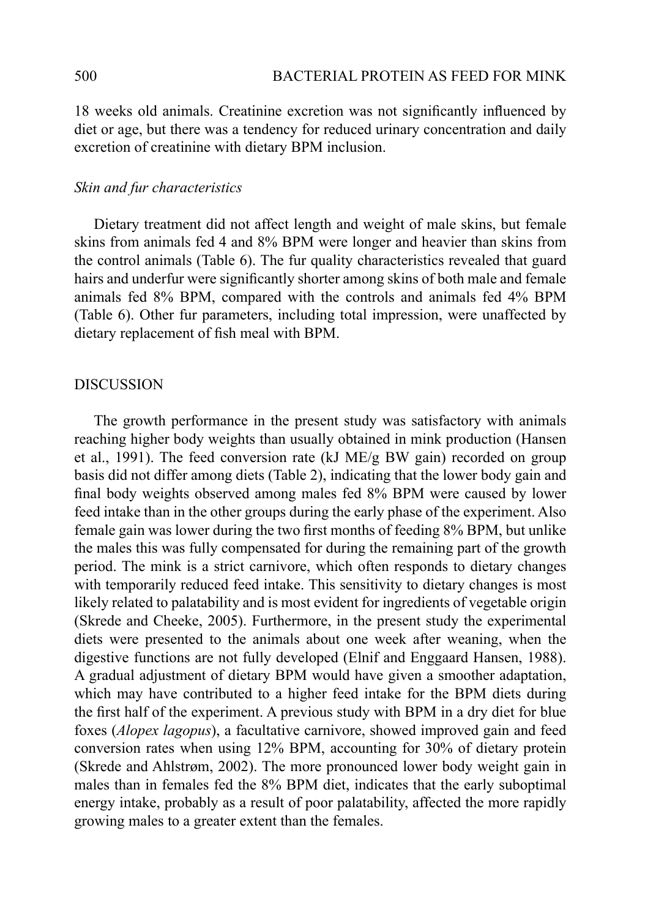18 weeks old animals. Creatinine excretion was not significantly influenced by diet or age, but there was a tendency for reduced urinary concentration and daily excretion of creatinine with dietary BPM inclusion.

# *Skin and fur characteristics*

Dietary treatment did not affect length and weight of male skins, but female skins from animals fed 4 and 8% BPM were longer and heavier than skins from the control animals (Table 6). The fur quality characteristics revealed that guard hairs and underfur were significantly shorter among skins of both male and female animals fed 8% BPM, compared with the controls and animals fed 4% BPM (Table 6). Other fur parameters, including total impression, were unaffected by dietary replacement of fish meal with BPM.

#### **DISCUSSION**

The growth performance in the present study was satisfactory with animals reaching higher body weights than usually obtained in mink production (Hansen et al., 1991). The feed conversion rate (kJ ME/g BW gain) recorded on group basis did not differ among diets (Table 2), indicating that the lower body gain and final body weights observed among males fed 8% BPM were caused by lower feed intake than in the other groups during the early phase of the experiment. Also female gain was lower during the two first months of feeding 8% BPM, but unlike the males this was fully compensated for during the remaining part of the growth period. The mink is a strict carnivore, which often responds to dietary changes with temporarily reduced feed intake. This sensitivity to dietary changes is most likely related to palatability and is most evident for ingredients of vegetable origin (Skrede and Cheeke, 2005). Furthermore, in the present study the experimental diets were presented to the animals about one week after weaning, when the digestive functions are not fully developed (Elnif and Enggaard Hansen, 1988). A gradual adjustment of dietary BPM would have given a smoother adaptation, which may have contributed to a higher feed intake for the BPM diets during the first half of the experiment. A previous study with BPM in a dry diet for blue foxes (*Alopex lagopus*), a facultative carnivore, showed improved gain and feed conversion rates when using 12% BPM, accounting for 30% of dietary protein (Skrede and Ahlstrøm, 2002). The more pronounced lower body weight gain in males than in females fed the 8% BPM diet, indicates that the early suboptimal energy intake, probably as a result of poor palatability, affected the more rapidly growing males to a greater extent than the females.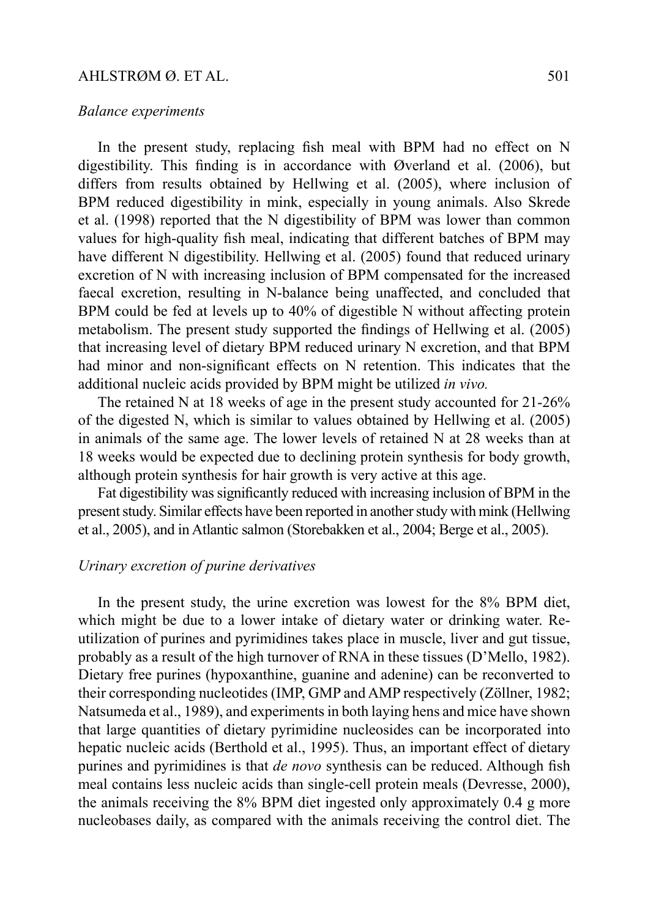#### *Balance experiments*

In the present study, replacing fish meal with BPM had no effect on N digestibility. This finding is in accordance with Øverland et al. (2006), but differs from results obtained by Hellwing et al. (2005), where inclusion of BPM reduced digestibility in mink, especially in young animals. Also Skrede et al. (1998) reported that the N digestibility of BPM was lower than common values for high-quality fish meal, indicating that different batches of BPM may have different N digestibility. Hellwing et al. (2005) found that reduced urinary excretion of N with increasing inclusion of BPM compensated for the increased faecal excretion, resulting in N-balance being unaffected, and concluded that BPM could be fed at levels up to 40% of digestible N without affecting protein metabolism. The present study supported the findings of Hellwing et al. (2005) that increasing level of dietary BPM reduced urinary N excretion, and that BPM had minor and non-significant effects on N retention. This indicates that the additional nucleic acids provided by BPM might be utilized *in vivo.* 

The retained N at 18 weeks of age in the present study accounted for 21-26% of the digested N, which is similar to values obtained by Hellwing et al. (2005) in animals of the same age. The lower levels of retained N at 28 weeks than at 18 weeks would be expected due to declining protein synthesis for body growth, although protein synthesis for hair growth is very active at this age.

Fat digestibility was significantly reduced with increasing inclusion of BPM in the present study. Similar effects have been reported in another study with mink (Hellwing et al., 2005), and in Atlantic salmon (Storebakken et al., 2004; Berge et al., 2005).

#### *Urinary excretion of purine derivatives*

In the present study, the urine excretion was lowest for the 8% BPM diet, which might be due to a lower intake of dietary water or drinking water. Reutilization of purines and pyrimidines takes place in muscle, liver and gut tissue, probably as a result of the high turnover of RNA in these tissues (D'Mello, 1982). Dietary free purines (hypoxanthine, guanine and adenine) can be reconverted to their corresponding nucleotides (IMP, GMP and AMP respectively (Zöllner, 1982; Natsumeda et al., 1989), and experiments in both laying hens and mice have shown that large quantities of dietary pyrimidine nucleosides can be incorporated into hepatic nucleic acids (Berthold et al., 1995). Thus, an important effect of dietary purines and pyrimidines is that *de novo* synthesis can be reduced. Although fish meal contains less nucleic acids than single-cell protein meals (Devresse, 2000), the animals receiving the 8% BPM diet ingested only approximately 0.4 g more nucleobases daily, as compared with the animals receiving the control diet. The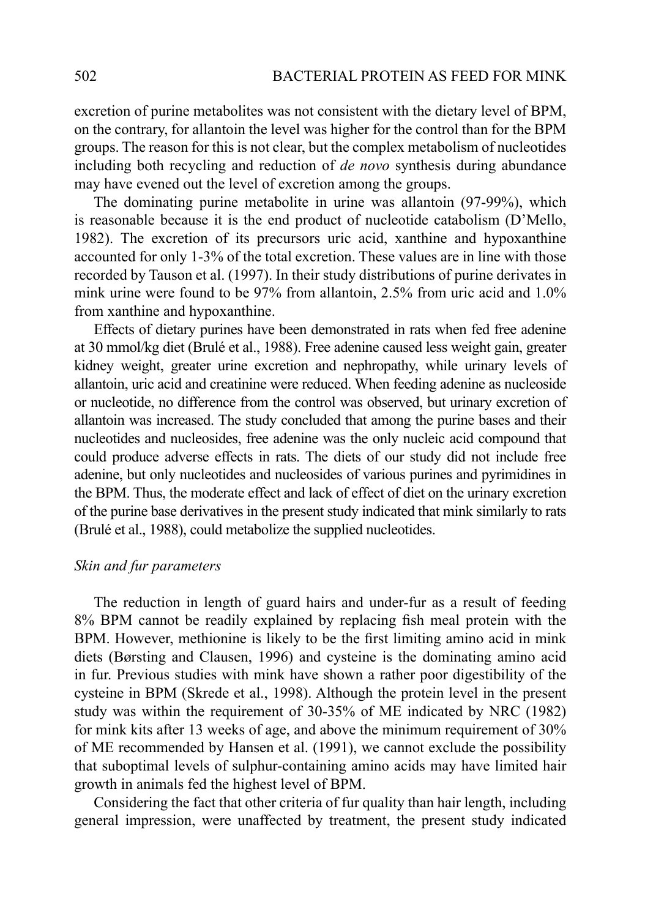excretion of purine metabolites was not consistent with the dietary level of BPM, on the contrary, for allantoin the level was higher for the control than for the BPM groups. The reason for this is not clear, but the complex metabolism of nucleotides including both recycling and reduction of *de novo* synthesis during abundance may have evened out the level of excretion among the groups.

The dominating purine metabolite in urine was allantoin (97-99%), which is reasonable because it is the end product of nucleotide catabolism (D'Mello, 1982). The excretion of its precursors uric acid, xanthine and hypoxanthine accounted for only 1-3% of the total excretion. These values are in line with those recorded by Tauson et al. (1997). In their study distributions of purine derivates in mink urine were found to be 97% from allantoin, 2.5% from uric acid and 1.0% from xanthine and hypoxanthine.

Effects of dietary purines have been demonstrated in rats when fed free adenine at 30 mmol/kg diet (Brulé et al., 1988). Free adenine caused less weight gain, greater kidney weight, greater urine excretion and nephropathy, while urinary levels of allantoin, uric acid and creatinine were reduced. When feeding adenine as nucleoside or nucleotide, no difference from the control was observed, but urinary excretion of allantoin was increased. The study concluded that among the purine bases and their nucleotides and nucleosides, free adenine was the only nucleic acid compound that could produce adverse effects in rats. The diets of our study did not include free adenine, but only nucleotides and nucleosides of various purines and pyrimidines in the BPM. Thus, the moderate effect and lack of effect of diet on the urinary excretion of the purine base derivatives in the present study indicated that mink similarly to rats (Brulé et al., 1988), could metabolize the supplied nucleotides.

#### *Skin and fur parameters*

The reduction in length of guard hairs and under-fur as a result of feeding 8% BPM cannot be readily explained by replacing fish meal protein with the BPM. However, methionine is likely to be the first limiting amino acid in mink diets (Børsting and Clausen, 1996) and cysteine is the dominating amino acid in fur. Previous studies with mink have shown a rather poor digestibility of the cysteine in BPM (Skrede et al., 1998). Although the protein level in the present study was within the requirement of 30-35% of ME indicated by NRC (1982) for mink kits after 13 weeks of age, and above the minimum requirement of 30% of ME recommended by Hansen et al. (1991), we cannot exclude the possibility that suboptimal levels of sulphur-containing amino acids may have limited hair growth in animals fed the highest level of BPM.

Considering the fact that other criteria of fur quality than hair length, including general impression, were unaffected by treatment, the present study indicated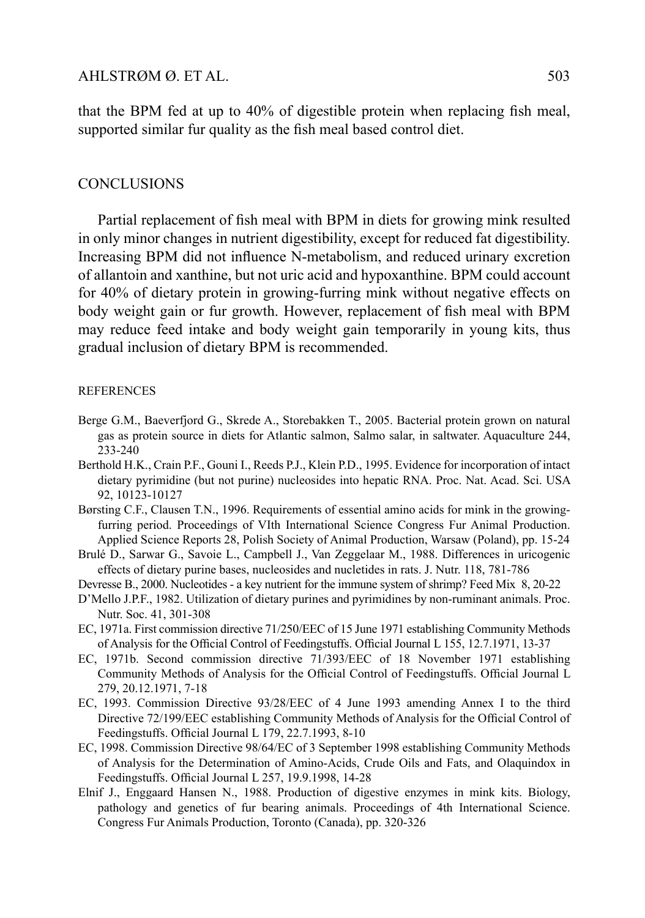that the BPM fed at up to 40% of digestible protein when replacing fish meal, supported similar fur quality as the fish meal based control diet.

#### **CONCLUSIONS**

Partial replacement of fish meal with BPM in diets for growing mink resulted in only minor changes in nutrient digestibility, except for reduced fat digestibility. Increasing BPM did not influence N-metabolism, and reduced urinary excretion of allantoin and xanthine, but not uric acid and hypoxanthine. BPM could account for 40% of dietary protein in growing-furring mink without negative effects on body weight gain or fur growth. However, replacement of fish meal with BPM may reduce feed intake and body weight gain temporarily in young kits, thus gradual inclusion of dietary BPM is recommended.

#### **REFERENCES**

- Berge G.M., Baeverfjord G., Skrede A., Storebakken T., 2005. Bacterial protein grown on natural gas as protein source in diets for Atlantic salmon, Salmo salar, in saltwater. Aquaculture 244, 233-240
- Berthold H.K., Crain P.F., Gouni I., Reeds P.J., Klein P.D., 1995. Evidence for incorporation of intact dietary pyrimidine (but not purine) nucleosides into hepatic RNA. Proc. Nat. Acad. Sci. USA 92, 10123-10127
- Børsting C.F., Clausen T.N., 1996. Requirements of essential amino acids for mink in the growingfurring period. Proceedings of VIth International Science Congress Fur Animal Production. Applied Science Reports 28, Polish Society of Animal Production, Warsaw (Poland), pp. 15-24
- Brulé D., Sarwar G., Savoie L., Campbell J., Van Zeggelaar M., 1988. Differences in uricogenic effects of dietary purine bases, nucleosides and nucletides in rats. J. Nutr. 118, 781-786
- Devresse B., 2000. Nucleotides a key nutrient for the immune system of shrimp? Feed Mix 8, 20-22
- D'Mello J.P.F., 1982. Utilization of dietary purines and pyrimidines by non-ruminant animals. Proc. Nutr. Soc. 41, 301-308
- EC, 1971a. First commission directive 71/250/EEC of 15 June 1971 establishing Community Methods of Analysis for the Official Control of Feedingstuffs. Official Journal L 155, 12.7.1971, 13-37
- EC, 1971b. Second commission directive 71/393/EEC of 18 November 1971 establishing Community Methods of Analysis for the Official Control of Feedingstuffs. Official Journal L 279, 20.12.1971, 7-18
- EC, 1993. Commission Directive 93/28/EEC of 4 June 1993 amending Annex I to the third Directive 72/199/EEC establishing Community Methods of Analysis for the Official Control of Feedingstuffs. Official Journal L 179, 22.7.1993, 8-10
- EC, 1998. Commission Directive 98/64/EC of 3 September 1998 establishing Community Methods of Analysis for the Determination of Amino-Acids, Crude Oils and Fats, and Olaquindox in Feedingstuffs. Official Journal L 257, 19.9.1998, 14-28
- Elnif J., Enggaard Hansen N., 1988. Production of digestive enzymes in mink kits. Biology, pathology and genetics of fur bearing animals. Proceedings of 4th International Science. Congress Fur Animals Production, Toronto (Canada), pp. 320-326